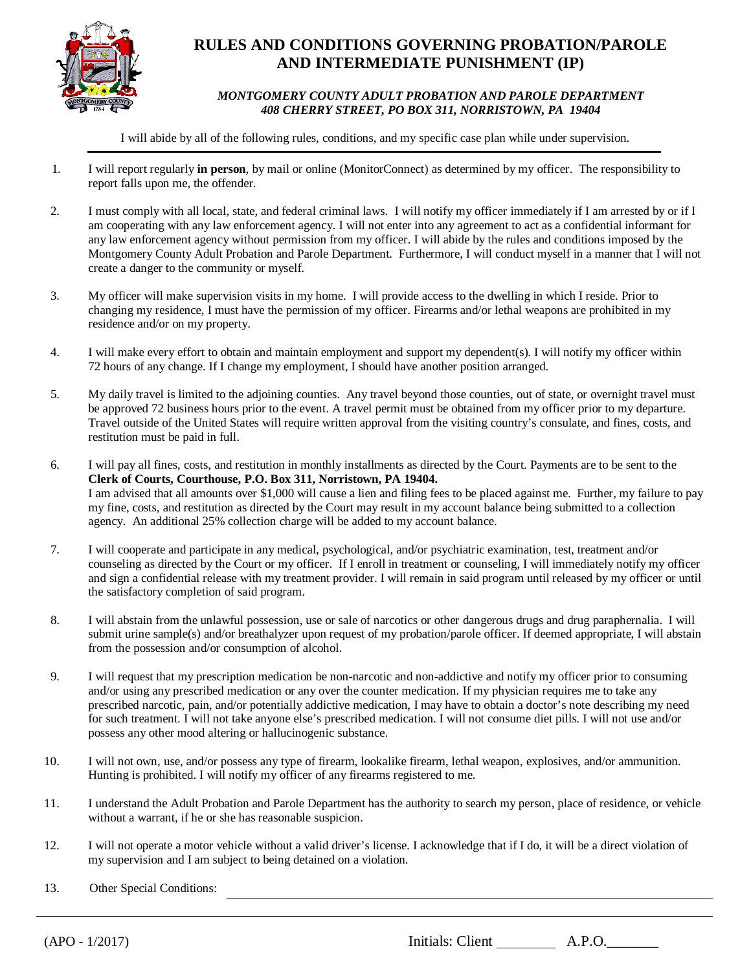

## **RULES AND CONDITIONS GOVERNING PROBATION/PAROLE AND INTERMEDIATE PUNISHMENT (IP)**

## *MONTGOMERY COUNTY ADULT PROBATION AND PAROLE DEPARTMENT 408 CHERRY STREET, PO BOX 311, NORRISTOWN, PA 19404*

I will abide by all of the following rules, conditions, and my specific case plan while under supervision.

- 1. I will report regularly **in person**, by mail or online (MonitorConnect) as determined by my officer. The responsibility to report falls upon me, the offender.
- 2. I must comply with all local, state, and federal criminal laws. I will notify my officer immediately if I am arrested by or if I am cooperating with any law enforcement agency. I will not enter into any agreement to act as a confidential informant for any law enforcement agency without permission from my officer. I will abide by the rules and conditions imposed by the Montgomery County Adult Probation and Parole Department. Furthermore, I will conduct myself in a manner that I will not create a danger to the community or myself.
- 3. My officer will make supervision visits in my home. I will provide access to the dwelling in which I reside. Prior to changing my residence, I must have the permission of my officer. Firearms and/or lethal weapons are prohibited in my residence and/or on my property.
- 4. I will make every effort to obtain and maintain employment and support my dependent(s). I will notify my officer within 72 hours of any change. If I change my employment, I should have another position arranged.
- 5. My daily travel is limited to the adjoining counties. Any travel beyond those counties, out of state, or overnight travel must be approved 72 business hours prior to the event. A travel permit must be obtained from my officer prior to my departure. Travel outside of the United States will require written approval from the visiting country's consulate, and fines, costs, and restitution must be paid in full.
- 6. I will pay all fines, costs, and restitution in monthly installments as directed by the Court. Payments are to be sent to the **Clerk of Courts, Courthouse, P.O. Box 311, Norristown, PA 19404.** I am advised that all amounts over \$1,000 will cause a lien and filing fees to be placed against me. Further, my failure to pay my fine, costs, and restitution as directed by the Court may result in my account balance being submitted to a collection agency. An additional 25% collection charge will be added to my account balance.
- 7. I will cooperate and participate in any medical, psychological, and/or psychiatric examination, test, treatment and/or counseling as directed by the Court or my officer. If I enroll in treatment or counseling, I will immediately notify my officer and sign a confidential release with my treatment provider. I will remain in said program until released by my officer or until the satisfactory completion of said program.
- 8. I will abstain from the unlawful possession, use or sale of narcotics or other dangerous drugs and drug paraphernalia. I will submit urine sample(s) and/or breathalyzer upon request of my probation/parole officer. If deemed appropriate, I will abstain from the possession and/or consumption of alcohol.
- 9. I will request that my prescription medication be non-narcotic and non-addictive and notify my officer prior to consuming and/or using any prescribed medication or any over the counter medication. If my physician requires me to take any prescribed narcotic, pain, and/or potentially addictive medication, I may have to obtain a doctor's note describing my need for such treatment. I will not take anyone else's prescribed medication. I will not consume diet pills. I will not use and/or possess any other mood altering or hallucinogenic substance.
- 10. I will not own, use, and/or possess any type of firearm, lookalike firearm, lethal weapon, explosives, and/or ammunition. Hunting is prohibited. I will notify my officer of any firearms registered to me.
- 11. I understand the Adult Probation and Parole Department has the authority to search my person, place of residence, or vehicle without a warrant, if he or she has reasonable suspicion.
- 12. I will not operate a motor vehicle without a valid driver's license. I acknowledge that if I do, it will be a direct violation of my supervision and I am subject to being detained on a violation.
- 13. Other Special Conditions:

(APO - 1/2017) Initials: Client A.P.O.